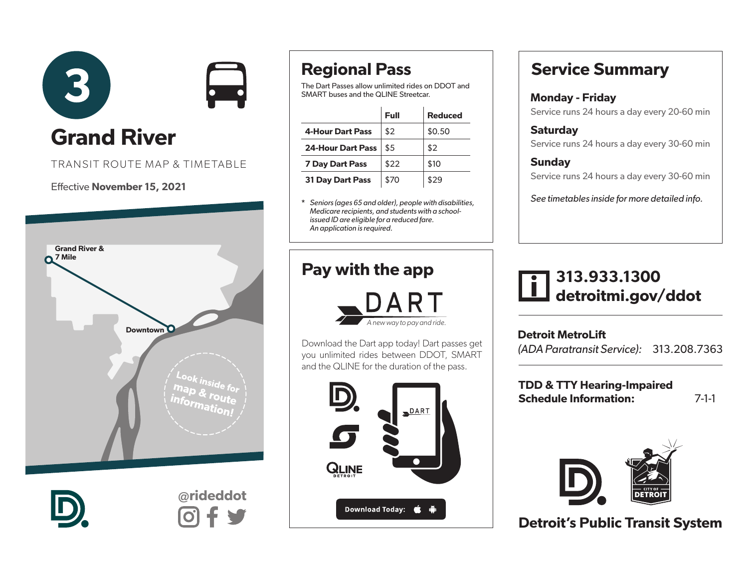

TRANSIT ROUTE MAP & TIMETABLE

#### Effective November 15, 2021





@rideddot

# Regional Pass

The Dart Passes allow unlimited rides on DDOT and SMART buses and the QLINE Streetcar.

|                          | Full | <b>Reduced</b> |
|--------------------------|------|----------------|
| <b>4-Hour Dart Pass</b>  | \$2  | \$0.50         |
| <b>24-Hour Dart Pass</b> | \$5  | \$2            |
| <b>7 Day Dart Pass</b>   | \$22 | \$10           |
| <b>31 Day Dart Pass</b>  | \$70 | \$29           |

\* *Seniors (ages 65 and older), people with disabilities, Medicare recipients, and students with a schoolissued ID are eligible for a reduced fare. An application is required.* 

### Pay with the app



Download the Dart app today! Dart passes get you unlimited rides between DDOT, SMART and the QLINE for the duration of the pass.



# Service Summary

## Monday - Friday

Service runs 24 hours a day every 20-60 min

**Saturdav** Service runs 24 hours a day every 30-60 min

#### **Sunday** Service runs 24 hours a day every 30-60 min

*See timetables inside for more detailed info.*

# 313.933.1300 detroitmi.gov/ddot

Detroit MetroLift *(ADA Paratransit Service):* 313.208.7363

TDD & TTY Hearing-Impaired Schedule Information: 7-1-1



Detroit's Public Transit System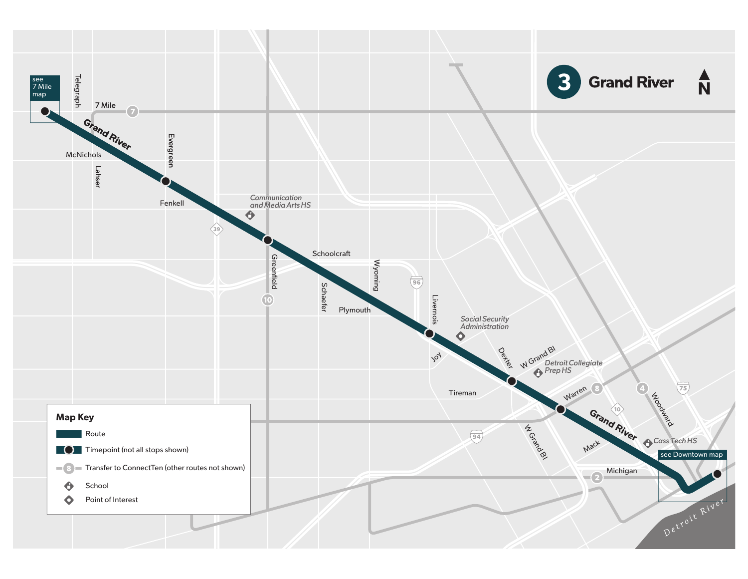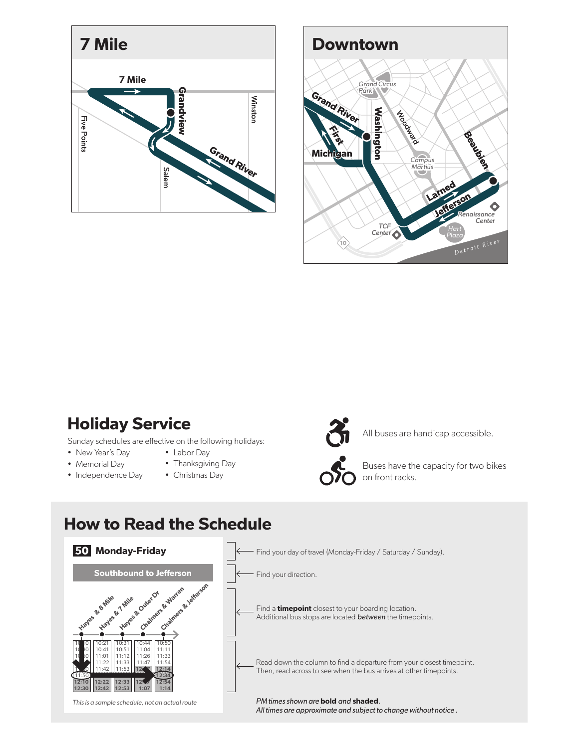



## Holiday Service

Sunday schedules are effective on the following holidays:

- New Year's Day
- Memorial Day
- Independence Day
- Labor Day • Thanksgiving Day
- Christmas Day



All buses are handicap accessible.



Buses have the capacity for two bikes on front racks.

#### How to Read the Schedule

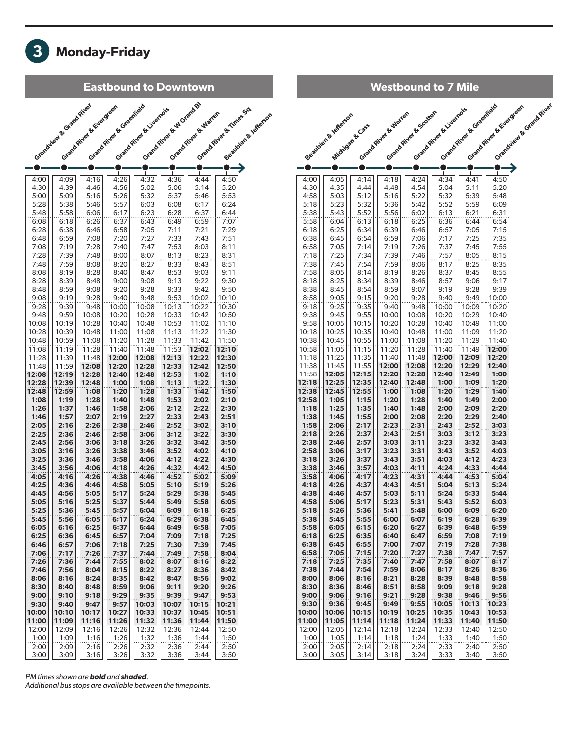

| <b>Westbound to 7 Mile</b> |                         |                 |                      |                      |                        |                          |                            |                         |  |  |  |
|----------------------------|-------------------------|-----------------|----------------------|----------------------|------------------------|--------------------------|----------------------------|-------------------------|--|--|--|
|                            |                         |                 | Grand River & Warren | Grand River & Grater | Grand River & Livemons | Grand River & Greenfield | Grand River & Existing and | Grandview & Grand River |  |  |  |
|                            | Requirement of diversor | Michigan & Cass |                      |                      |                        |                          |                            |                         |  |  |  |
|                            |                         |                 |                      |                      |                        |                          |                            |                         |  |  |  |
|                            |                         |                 |                      |                      |                        |                          |                            |                         |  |  |  |
| 4:00                       | 4:05                    | 4:14            | 4:18                 | 4:24                 | 4:34                   | 4:41                     | 4:50                       |                         |  |  |  |
| 4:30                       | 4:35                    | 4:44            | 4:48                 | 4:54                 | 5:04                   | 5:11                     | 5:20                       |                         |  |  |  |
| 4:58                       | 5:03                    | 5:12            | 5:16                 | 5:22                 | 5:32                   | 5:39                     | 5:48                       |                         |  |  |  |
| 5:18<br>5:38               | 5:23<br>5:43            | 5:32<br>5:52    | 5:36<br>5:56         | 5:42<br>6:02         | 5:52<br>6:13           | 5:59<br>6:21             | 6:09<br>6:31               |                         |  |  |  |
| 5:58                       | 6:04                    | 6:13            | 6:18                 | 6:25                 | 6:36                   | 6:44                     | 6:54                       |                         |  |  |  |
| 6:18                       | 6:25                    | 6:34            | 6:39                 | 6:46                 | 6:57                   | 7:05                     | 7:15                       |                         |  |  |  |
| 6:38<br>6:58               | 6:45<br>7:05            | 6:54<br>7:14    | 6:59<br>7:19         | 7:06<br>7:26         | 7:17<br>7:37           | 7:25<br>7:45             | 7:35<br>7:55               |                         |  |  |  |
| 7:18                       | 7:25                    | 7:34            | 7:39                 | 7:46                 | 7:57                   | 8:05                     | 8:15                       |                         |  |  |  |
| 7:38<br>7:58               | 7:45<br>8:05            | 7:54<br>8:14    | 7:59<br>8:19         | 8:06<br>8:26         | 8:17<br>8:37           | 8:25<br>8:45             | 8:35<br>8:55               |                         |  |  |  |
| 8:18                       | 8:25                    | 8:34            | 8:39                 | 8:46                 | 8:57                   | 9:06                     | 9:17                       |                         |  |  |  |
| 8:38                       | 8:45                    | 8:54            | 8:59                 | 9:07                 | 9:19                   | 9:28                     | 9:39                       |                         |  |  |  |
| 8:58<br>9:18               | 9:05<br>9:25            | 9:15<br>9:35    | 9:20<br>9:40         | 9:28<br>9:48         | 9:40<br>10:00          | 9:49<br>10:09            | 10:00<br>10:20             |                         |  |  |  |
| 9:38                       | 9:45                    | 9:55            | 10:00                | 10:08                | 10:20                  | 10:29                    | 10:40                      |                         |  |  |  |
| 9:58<br>10:18              | 10:05<br>10:25          | 10:15<br>10:35  | 10:20<br>10:40       | 10:28<br>10:48       | 10:40<br>11:00         | 10:49<br>11:09           | 11:00<br>11:20             |                         |  |  |  |
| 10:38                      | 10:45                   | 10:55           | 11:00                | 11:08                | 11:20                  | 11:29                    | 11:40                      |                         |  |  |  |
| 10:58                      | 11:05                   | 11:15           | 11:20                | 11:28                | 11:40                  | 11:49                    | 12:00                      |                         |  |  |  |
| 11:18<br>11:38             | 11:25<br>11:45          | 11:35<br>11:55  | 11:40<br>12:00       | 11:48<br>12:08       | 12:00<br>12:20         | 12:09<br>12:29           | 12:20<br>12:40             |                         |  |  |  |
| 11:58                      | 12:05                   | 12:15           | 12:20                | 12:28                | 12:40                  | 12:49                    | 1:00                       |                         |  |  |  |
| 12:18<br>12:38             | 12:25<br>12:45          | 12:35<br>12:55  | 12:40                | 12:48                | 1:00<br>1:20           | 1:09<br>1:29             | 1:20<br>1:40               |                         |  |  |  |
| 12:58                      | 1:05                    | 1:15            | 1:00<br>1:20         | 1:08<br>1:28         | 1:40                   | 1:49                     | 2:00                       |                         |  |  |  |
| 1:18                       | 1:25                    | 1:35            | 1:40                 | 1:48                 | 2:00                   | 2:09                     | 2:20                       |                         |  |  |  |
| 1:38<br>1:58               | 1:45<br>2:06            | 1:55<br>2:17    | 2:00<br>2:23         | 2:08<br>2:31         | 2:20<br>2:43           | 2:29<br>2:52             | 2:40<br>3:03               |                         |  |  |  |
| 2:18                       | 2:26                    | 2:37            | 2:43                 | 2:51                 | 3:03                   | 3:12                     | 3:23                       |                         |  |  |  |
| 2:38<br>2:58               | 2:46<br>3:06            | 2:57<br>3:17    | 3:03<br>3:23         | 3:11<br>3:31         | 3:23<br>3:43           | 3:32<br>3:52             | 3:43<br>4:03               |                         |  |  |  |
| 3:18                       | 3:26                    | 3:37            | 3:43                 | 3:51                 | 4:03                   | 4:12                     | 4:23                       |                         |  |  |  |
| 3:38                       | 3:46                    | 3:57            | 4:03                 | 4:11                 | 4:24                   | 4:33                     | 4:44                       |                         |  |  |  |
| 3:58<br>4:18               | 4:06<br>4:26            | 4:17<br>4:37    | 4:23<br>4:43         | 4:31<br>4:51         | 4:44<br>5:04           | 4:53<br>5:13             | 5:04<br>5:24               |                         |  |  |  |
| 4:38                       | 4:46                    | 4:57            | 5:03                 | 5:11                 | 5:24                   | 5:33                     | 5:44                       |                         |  |  |  |
| 4:58<br>5:18               | 5:06<br>5:26            | 5:17<br>5:36    | 5:23<br>5:41         | 5:31<br>5:48         | 5:43<br>6:00           | 5:52<br>6:09             | 6:03<br>6:20               |                         |  |  |  |
| 5:38                       | 5:45                    | 5:55            | 6:00                 | 6:07                 | 6:19                   | 6:28                     | 6:39                       |                         |  |  |  |
| 5:58                       | 6:05                    | 6:15            | 6:20                 | 6:27                 | 6:39                   | 6:48                     | 6:59                       |                         |  |  |  |
| 6:18<br>6:38               | 6:25<br>6:45            | 6:35<br>6:55    | 6:40<br>7:00         | 6:47<br>7:07         | 6:59<br>7:19           | 7:08<br>7:28             | 7:19<br>7:38               |                         |  |  |  |
| 6:58                       | 7:05                    | 7:15            | 7:20                 | 7:27                 | 7:38                   | 7:47                     | 7:57                       |                         |  |  |  |
| 7:18                       | 7:25                    | 7:35            | 7:40                 | 7:47                 | 7:58                   | 8:07                     | 8:17                       |                         |  |  |  |
| 7:38<br>8:00               | 7:44<br>8:06            | 7:54<br>8:16    | 7:59<br>8:21         | 8:06<br>8:28         | 8:17<br>8:39           | 8:26<br>8:48             | 8:36<br>8:58               |                         |  |  |  |
| 8:30                       | 8:36                    | 8:46            | 8:51                 | 8:58                 | 9:09                   | 9:18                     | 9:28                       |                         |  |  |  |
| 9:00<br>9:30               | 9:06<br>9:36            | 9:16<br>9:45    | 9:21<br>9:49         | 9:28<br>9:55         | 9:38<br>10:05          | 9:46<br>10:13            | 9:56<br>10:23              |                         |  |  |  |
| 10:00                      | 10:06                   | 10:15           | 10:19                | 10:25                | 10:35                  | 10:43                    | 10:53                      |                         |  |  |  |
| 11:00                      | 11:05                   | 11:14           | 11:18                | 11:24                | 11:33                  | 11:40                    | 11:50                      |                         |  |  |  |
| 12:00<br>1:00              | 12:05<br>1:05           | 12:14<br>1:14   | 12:18<br>1:18        | 12:24<br>1:24        | 12:33<br>1:33          | 12:40<br>1:40            | 12:50<br>1:50              |                         |  |  |  |
| 2:00                       | 2:05                    | 2:14            | 2:18                 | 2:24                 | 2:33                   | 2:40                     | 2:50                       |                         |  |  |  |
| 3:00                       | 3:05                    | 3:14            | 3:18                 | 3:24                 | 3:33                   | 3:40                     | 3:50                       |                         |  |  |  |

#### *PM times shown are* bold *and* shaded*.*

*Additional bus stops are available between the timepoints.*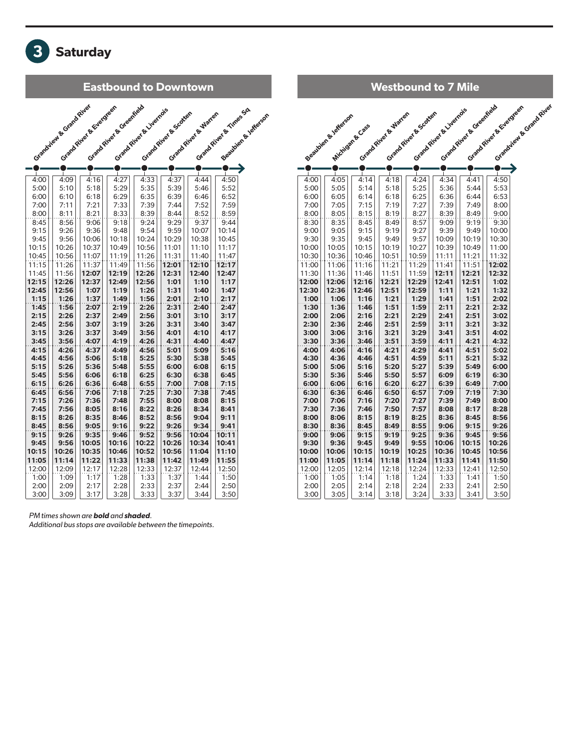

| <b>Westbound to 7 Mile</b> |                       |                 |                      |                       |                         |                          |                         |                         |  |  |  |
|----------------------------|-----------------------|-----------------|----------------------|-----------------------|-------------------------|--------------------------|-------------------------|-------------------------|--|--|--|
|                            | Seattleen & Lefferson | Michigan & Cass | Grand River & Warren | Grand River & Gcotter | Grand River & Liverno's | Grand River & Greenfield | Grand River & Evergreen | Standigue & Grand River |  |  |  |
|                            |                       |                 |                      |                       |                         |                          |                         |                         |  |  |  |
|                            |                       |                 |                      |                       |                         |                          |                         |                         |  |  |  |
|                            |                       |                 |                      |                       |                         |                          |                         |                         |  |  |  |
| 4:00                       | 4:05                  | 4:14            | 4:18                 | 4:24                  | 4:34                    | 4:41                     | 4:50                    |                         |  |  |  |
| 5:00                       | 5:05                  | 5:14            | 5:18                 | 5:25                  | 5:36                    | 5:44                     | 5:53                    |                         |  |  |  |
| 6:00                       | 6:05                  | 6:14            | 6:18                 | 6:25                  | 6:36                    | 6:44                     | 6:53                    |                         |  |  |  |
| 7:00                       | 7:05                  | 7:15            | 7:19                 | 7:27                  | 7:39                    | 7:49                     | 8:00                    |                         |  |  |  |
| 8:00                       | 8:05                  | 8:15            | 8:19                 | 8:27                  | 8:39                    | 8:49                     | 9:00                    |                         |  |  |  |
| 8:30                       | 8:35                  | 8:45            | 8:49                 | 8:57                  | 9:09                    | 9:19                     | 9:30                    |                         |  |  |  |
| 9:00                       | 9:05                  | 9:15            | 9:19                 | 9:27                  | 9:39                    | 9:49                     | 10:00<br>10:30          |                         |  |  |  |
| 9:30<br>10:00              | 9:35<br>10:05         | 9:45<br>10:15   | 9:49<br>10:19        | 9:57<br>10:27         | 10:09<br>10:39          | 10:19<br>10:49           | 11:00                   |                         |  |  |  |
| 10:30                      | 10:36                 | 10:46           | 10:51                | 10:59                 | 11:11                   | 11:21                    | 11:32                   |                         |  |  |  |
| 11:00                      | 11:06                 | 11:16           | 11:21                | 11:29                 | 11:41                   | 11:51                    | 12:02                   |                         |  |  |  |
| 11:30                      | 11:36                 | 11:46           | 11:51                | 11:59                 | 12:11                   | 12:21                    | 12:32                   |                         |  |  |  |
| 12:00                      | 12:06                 | 12:16           | 12:21                | 12:29                 | 12:41                   | 12:51                    | 1:02                    |                         |  |  |  |
| 12:30                      | 12:36                 | 12:46           | 12:51                | 12:59                 | 1:11                    | 1:21                     | 1:32                    |                         |  |  |  |
| 1:00                       | 1:06                  | 1:16            | 1:21                 | 1:29                  | 1:41                    | 1:51                     | 2:02                    |                         |  |  |  |
| 1:30                       | 1:36                  | 1:46            | 1:51                 | 1:59                  | 2:11                    | 2:21                     | 2:32                    |                         |  |  |  |
| 2:00                       | 2:06                  | 2:16            | 2:21                 | 2:29                  | 2:41                    | 2:51                     | 3:02                    |                         |  |  |  |
| 2:30                       | 2:36                  | 2:46            | 2:51                 | 2:59                  | 3:11                    | 3:21                     | 3:32                    |                         |  |  |  |
| 3:00                       | 3:06                  | 3:16            | 3:21                 | 3:29                  | 3:41                    | 3:51                     | 4:02                    |                         |  |  |  |
| 3:30                       | 3:36                  | 3:46            | 3:51                 | 3:59                  | 4:11                    | 4:21                     | 4:32                    |                         |  |  |  |
| 4:00                       | 4:06                  | 4:16            | 4:21                 | 4:29                  | 4:41                    | 4:51                     | 5:02                    |                         |  |  |  |
| 4:30                       | 4:36                  | 4:46            | 4:51                 | 4:59                  | 5:11                    | 5:21                     | 5:32                    |                         |  |  |  |
| 5:00                       | 5:06                  | 5:16            | 5:20                 | 5:27                  | 5:39                    | 5:49                     | 6:00                    |                         |  |  |  |
| 5:30                       | 5:36                  | 5:46            | 5:50                 | 5:57                  | 6:09                    | 6:19                     | 6:30                    |                         |  |  |  |
| 6:00                       | 6:06                  | 6:16            | 6:20                 | 6:27                  | 6:39                    | 6:49                     | 7:00                    |                         |  |  |  |
| 6:30<br>7:00               | 6:36                  | 6:46<br>7:16    | 6:50<br>7:20         | 6:57<br>7:27          | 7:09<br>7:39            | 7:19<br>7:49             | 7:30<br>8:00            |                         |  |  |  |
| 7:30                       | 7:06<br>7:36          | 7:46            | 7:50                 | 7:57                  | 8:08                    | 8:17                     | 8:28                    |                         |  |  |  |
| 8:00                       | 8:06                  | 8:15            | 8:19                 | 8:25                  | 8:36                    | 8:45                     | 8:56                    |                         |  |  |  |
| 8:30                       | 8:36                  | 8:45            | 8:49                 | 8:55                  | 9:06                    | 9:15                     | 9:26                    |                         |  |  |  |
| 9:00                       | 9:06                  | 9:15            | 9:19                 | 9:25                  | 9:36                    | 9:45                     | 9:56                    |                         |  |  |  |
| 9:30                       | 9:36                  | 9:45            | 9:49                 | 9:55                  | 10:06                   | 10:15                    | 10:26                   |                         |  |  |  |
| 10:00                      | 10:06                 | 10:15           | 10:19                | 10:25                 | 10:36                   | 10:45                    | 10:56                   |                         |  |  |  |
| 11:00                      | 11:05                 | 11:14           | 11:18                | 11:24                 | 11:33                   | 11:41                    | 11:50                   |                         |  |  |  |
| 12:00                      | 12:05                 | 12:14           | 12:18                | 12:24                 | 12:33                   | 12:41                    | 12:50                   |                         |  |  |  |
| 1:00                       | 1:05                  | 1:14            | 1:18                 | 1:24                  | 1:33                    | 1:41                     | 1:50                    |                         |  |  |  |
| 2:00                       | 2:05                  | 2:14            | 2:18                 | 2:24                  | 2:33                    | 2:41                     | 2:50                    |                         |  |  |  |
| 3:00                       | 3:05                  | 3:14            | 3:18                 | 3:24                  | 3:33                    | 3:41                     | 3:50                    |                         |  |  |  |

*PM times shown are* bold *and* shaded*.* 

*Additional bus stops are available between the timepoints.*